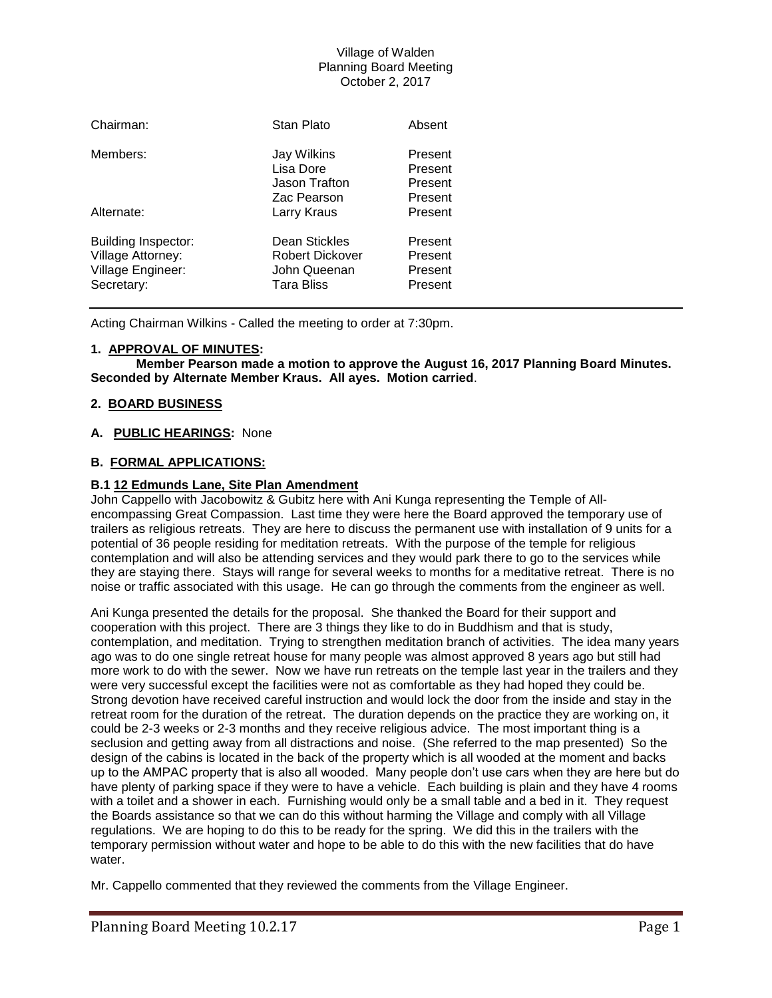| Chairman:                                                                          | Stan Plato                                                                   | Absent                                   |
|------------------------------------------------------------------------------------|------------------------------------------------------------------------------|------------------------------------------|
| Members:                                                                           | Jay Wilkins<br>Lisa Dore<br>Jason Trafton                                    | Present<br>Present<br>Present            |
| Alternate:                                                                         | Zac Pearson<br>Larry Kraus                                                   | Present<br>Present                       |
| <b>Building Inspector:</b><br>Village Attorney:<br>Village Engineer:<br>Secretary: | <b>Dean Stickles</b><br>Robert Dickover<br>John Queenan<br><b>Tara Bliss</b> | Present<br>Present<br>Present<br>Present |

Acting Chairman Wilkins - Called the meeting to order at 7:30pm.

### **1. APPROVAL OF MINUTES:**

**Member Pearson made a motion to approve the August 16, 2017 Planning Board Minutes. Seconded by Alternate Member Kraus. All ayes. Motion carried**.

### **2. BOARD BUSINESS**

### **A. PUBLIC HEARINGS:** None

## **B. FORMAL APPLICATIONS:**

## **B.1 12 Edmunds Lane, Site Plan Amendment**

John Cappello with Jacobowitz & Gubitz here with Ani Kunga representing the Temple of Allencompassing Great Compassion. Last time they were here the Board approved the temporary use of trailers as religious retreats. They are here to discuss the permanent use with installation of 9 units for a potential of 36 people residing for meditation retreats. With the purpose of the temple for religious contemplation and will also be attending services and they would park there to go to the services while they are staying there. Stays will range for several weeks to months for a meditative retreat. There is no noise or traffic associated with this usage. He can go through the comments from the engineer as well.

Ani Kunga presented the details for the proposal. She thanked the Board for their support and cooperation with this project. There are 3 things they like to do in Buddhism and that is study, contemplation, and meditation. Trying to strengthen meditation branch of activities. The idea many years ago was to do one single retreat house for many people was almost approved 8 years ago but still had more work to do with the sewer. Now we have run retreats on the temple last year in the trailers and they were very successful except the facilities were not as comfortable as they had hoped they could be. Strong devotion have received careful instruction and would lock the door from the inside and stay in the retreat room for the duration of the retreat. The duration depends on the practice they are working on, it could be 2-3 weeks or 2-3 months and they receive religious advice. The most important thing is a seclusion and getting away from all distractions and noise. (She referred to the map presented) So the design of the cabins is located in the back of the property which is all wooded at the moment and backs up to the AMPAC property that is also all wooded. Many people don't use cars when they are here but do have plenty of parking space if they were to have a vehicle. Each building is plain and they have 4 rooms with a toilet and a shower in each. Furnishing would only be a small table and a bed in it. They request the Boards assistance so that we can do this without harming the Village and comply with all Village regulations. We are hoping to do this to be ready for the spring. We did this in the trailers with the temporary permission without water and hope to be able to do this with the new facilities that do have water.

Mr. Cappello commented that they reviewed the comments from the Village Engineer.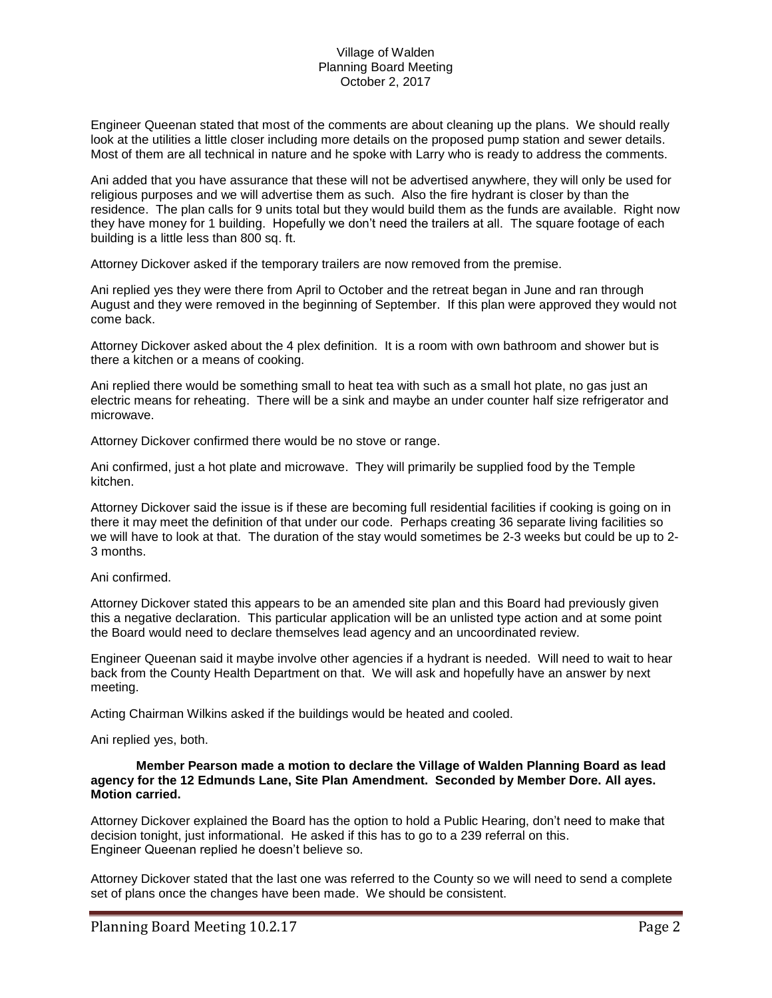Engineer Queenan stated that most of the comments are about cleaning up the plans. We should really look at the utilities a little closer including more details on the proposed pump station and sewer details. Most of them are all technical in nature and he spoke with Larry who is ready to address the comments.

Ani added that you have assurance that these will not be advertised anywhere, they will only be used for religious purposes and we will advertise them as such. Also the fire hydrant is closer by than the residence. The plan calls for 9 units total but they would build them as the funds are available. Right now they have money for 1 building. Hopefully we don't need the trailers at all. The square footage of each building is a little less than 800 sq. ft.

Attorney Dickover asked if the temporary trailers are now removed from the premise.

Ani replied yes they were there from April to October and the retreat began in June and ran through August and they were removed in the beginning of September. If this plan were approved they would not come back.

Attorney Dickover asked about the 4 plex definition. It is a room with own bathroom and shower but is there a kitchen or a means of cooking.

Ani replied there would be something small to heat tea with such as a small hot plate, no gas just an electric means for reheating. There will be a sink and maybe an under counter half size refrigerator and microwave.

Attorney Dickover confirmed there would be no stove or range.

Ani confirmed, just a hot plate and microwave. They will primarily be supplied food by the Temple kitchen.

Attorney Dickover said the issue is if these are becoming full residential facilities if cooking is going on in there it may meet the definition of that under our code. Perhaps creating 36 separate living facilities so we will have to look at that. The duration of the stay would sometimes be 2-3 weeks but could be up to 2- 3 months.

### Ani confirmed.

Attorney Dickover stated this appears to be an amended site plan and this Board had previously given this a negative declaration. This particular application will be an unlisted type action and at some point the Board would need to declare themselves lead agency and an uncoordinated review.

Engineer Queenan said it maybe involve other agencies if a hydrant is needed. Will need to wait to hear back from the County Health Department on that. We will ask and hopefully have an answer by next meeting.

Acting Chairman Wilkins asked if the buildings would be heated and cooled.

Ani replied yes, both.

#### **Member Pearson made a motion to declare the Village of Walden Planning Board as lead agency for the 12 Edmunds Lane, Site Plan Amendment. Seconded by Member Dore. All ayes. Motion carried.**

Attorney Dickover explained the Board has the option to hold a Public Hearing, don't need to make that decision tonight, just informational. He asked if this has to go to a 239 referral on this. Engineer Queenan replied he doesn't believe so.

Attorney Dickover stated that the last one was referred to the County so we will need to send a complete set of plans once the changes have been made. We should be consistent.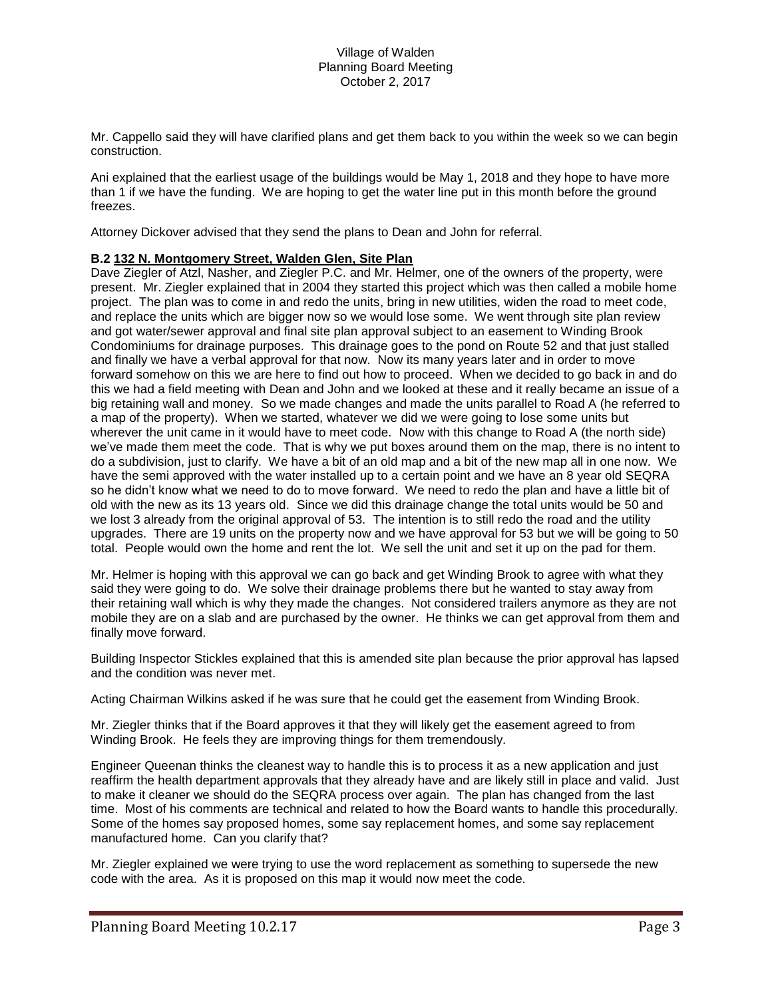Mr. Cappello said they will have clarified plans and get them back to you within the week so we can begin construction.

Ani explained that the earliest usage of the buildings would be May 1, 2018 and they hope to have more than 1 if we have the funding. We are hoping to get the water line put in this month before the ground freezes.

Attorney Dickover advised that they send the plans to Dean and John for referral.

## **B.2 132 N. Montgomery Street, Walden Glen, Site Plan**

Dave Ziegler of Atzl, Nasher, and Ziegler P.C. and Mr. Helmer, one of the owners of the property, were present. Mr. Ziegler explained that in 2004 they started this project which was then called a mobile home project. The plan was to come in and redo the units, bring in new utilities, widen the road to meet code, and replace the units which are bigger now so we would lose some. We went through site plan review and got water/sewer approval and final site plan approval subject to an easement to Winding Brook Condominiums for drainage purposes. This drainage goes to the pond on Route 52 and that just stalled and finally we have a verbal approval for that now. Now its many years later and in order to move forward somehow on this we are here to find out how to proceed. When we decided to go back in and do this we had a field meeting with Dean and John and we looked at these and it really became an issue of a big retaining wall and money. So we made changes and made the units parallel to Road A (he referred to a map of the property). When we started, whatever we did we were going to lose some units but wherever the unit came in it would have to meet code. Now with this change to Road A (the north side) we've made them meet the code. That is why we put boxes around them on the map, there is no intent to do a subdivision, just to clarify. We have a bit of an old map and a bit of the new map all in one now. We have the semi approved with the water installed up to a certain point and we have an 8 year old SEQRA so he didn't know what we need to do to move forward. We need to redo the plan and have a little bit of old with the new as its 13 years old. Since we did this drainage change the total units would be 50 and we lost 3 already from the original approval of 53. The intention is to still redo the road and the utility upgrades. There are 19 units on the property now and we have approval for 53 but we will be going to 50 total. People would own the home and rent the lot. We sell the unit and set it up on the pad for them.

Mr. Helmer is hoping with this approval we can go back and get Winding Brook to agree with what they said they were going to do. We solve their drainage problems there but he wanted to stay away from their retaining wall which is why they made the changes. Not considered trailers anymore as they are not mobile they are on a slab and are purchased by the owner. He thinks we can get approval from them and finally move forward.

Building Inspector Stickles explained that this is amended site plan because the prior approval has lapsed and the condition was never met.

Acting Chairman Wilkins asked if he was sure that he could get the easement from Winding Brook.

Mr. Ziegler thinks that if the Board approves it that they will likely get the easement agreed to from Winding Brook. He feels they are improving things for them tremendously.

Engineer Queenan thinks the cleanest way to handle this is to process it as a new application and just reaffirm the health department approvals that they already have and are likely still in place and valid. Just to make it cleaner we should do the SEQRA process over again. The plan has changed from the last time. Most of his comments are technical and related to how the Board wants to handle this procedurally. Some of the homes say proposed homes, some say replacement homes, and some say replacement manufactured home. Can you clarify that?

Mr. Ziegler explained we were trying to use the word replacement as something to supersede the new code with the area. As it is proposed on this map it would now meet the code.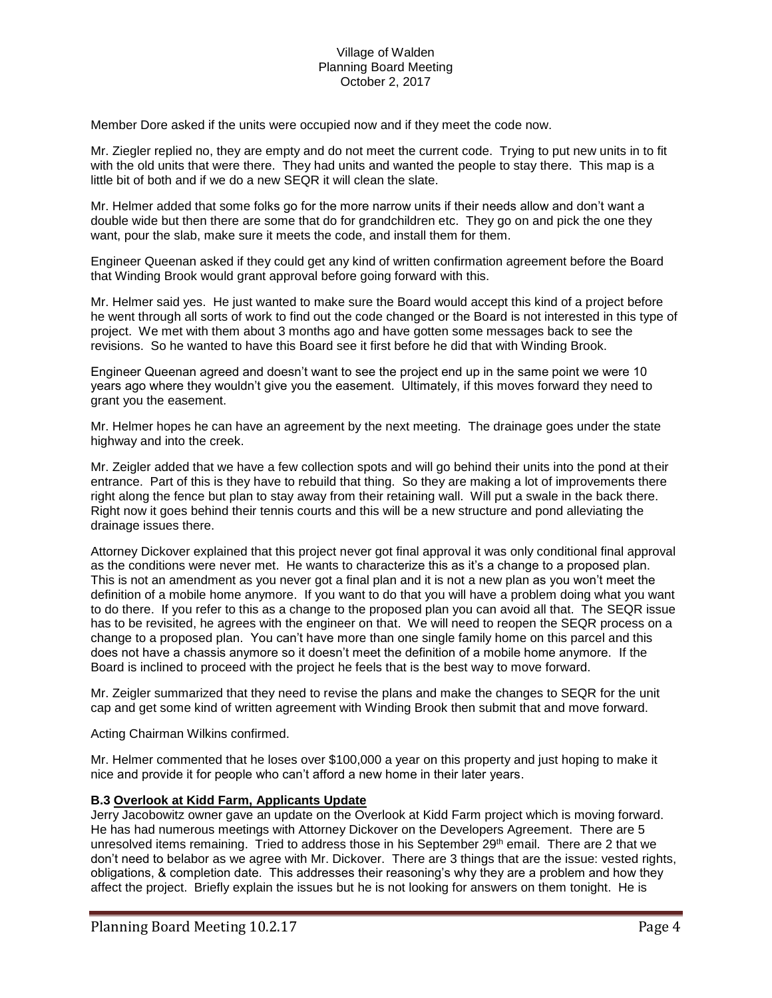Member Dore asked if the units were occupied now and if they meet the code now.

Mr. Ziegler replied no, they are empty and do not meet the current code. Trying to put new units in to fit with the old units that were there. They had units and wanted the people to stay there. This map is a little bit of both and if we do a new SEQR it will clean the slate.

Mr. Helmer added that some folks go for the more narrow units if their needs allow and don't want a double wide but then there are some that do for grandchildren etc. They go on and pick the one they want, pour the slab, make sure it meets the code, and install them for them.

Engineer Queenan asked if they could get any kind of written confirmation agreement before the Board that Winding Brook would grant approval before going forward with this.

Mr. Helmer said yes. He just wanted to make sure the Board would accept this kind of a project before he went through all sorts of work to find out the code changed or the Board is not interested in this type of project. We met with them about 3 months ago and have gotten some messages back to see the revisions. So he wanted to have this Board see it first before he did that with Winding Brook.

Engineer Queenan agreed and doesn't want to see the project end up in the same point we were 10 years ago where they wouldn't give you the easement. Ultimately, if this moves forward they need to grant you the easement.

Mr. Helmer hopes he can have an agreement by the next meeting. The drainage goes under the state highway and into the creek.

Mr. Zeigler added that we have a few collection spots and will go behind their units into the pond at their entrance. Part of this is they have to rebuild that thing. So they are making a lot of improvements there right along the fence but plan to stay away from their retaining wall. Will put a swale in the back there. Right now it goes behind their tennis courts and this will be a new structure and pond alleviating the drainage issues there.

Attorney Dickover explained that this project never got final approval it was only conditional final approval as the conditions were never met. He wants to characterize this as it's a change to a proposed plan. This is not an amendment as you never got a final plan and it is not a new plan as you won't meet the definition of a mobile home anymore. If you want to do that you will have a problem doing what you want to do there. If you refer to this as a change to the proposed plan you can avoid all that. The SEQR issue has to be revisited, he agrees with the engineer on that. We will need to reopen the SEQR process on a change to a proposed plan. You can't have more than one single family home on this parcel and this does not have a chassis anymore so it doesn't meet the definition of a mobile home anymore. If the Board is inclined to proceed with the project he feels that is the best way to move forward.

Mr. Zeigler summarized that they need to revise the plans and make the changes to SEQR for the unit cap and get some kind of written agreement with Winding Brook then submit that and move forward.

Acting Chairman Wilkins confirmed.

Mr. Helmer commented that he loses over \$100,000 a year on this property and just hoping to make it nice and provide it for people who can't afford a new home in their later years.

### **B.3 Overlook at Kidd Farm, Applicants Update**

Jerry Jacobowitz owner gave an update on the Overlook at Kidd Farm project which is moving forward. He has had numerous meetings with Attorney Dickover on the Developers Agreement. There are 5 unresolved items remaining. Tried to address those in his September 29<sup>th</sup> email. There are 2 that we don't need to belabor as we agree with Mr. Dickover. There are 3 things that are the issue: vested rights, obligations, & completion date. This addresses their reasoning's why they are a problem and how they affect the project. Briefly explain the issues but he is not looking for answers on them tonight. He is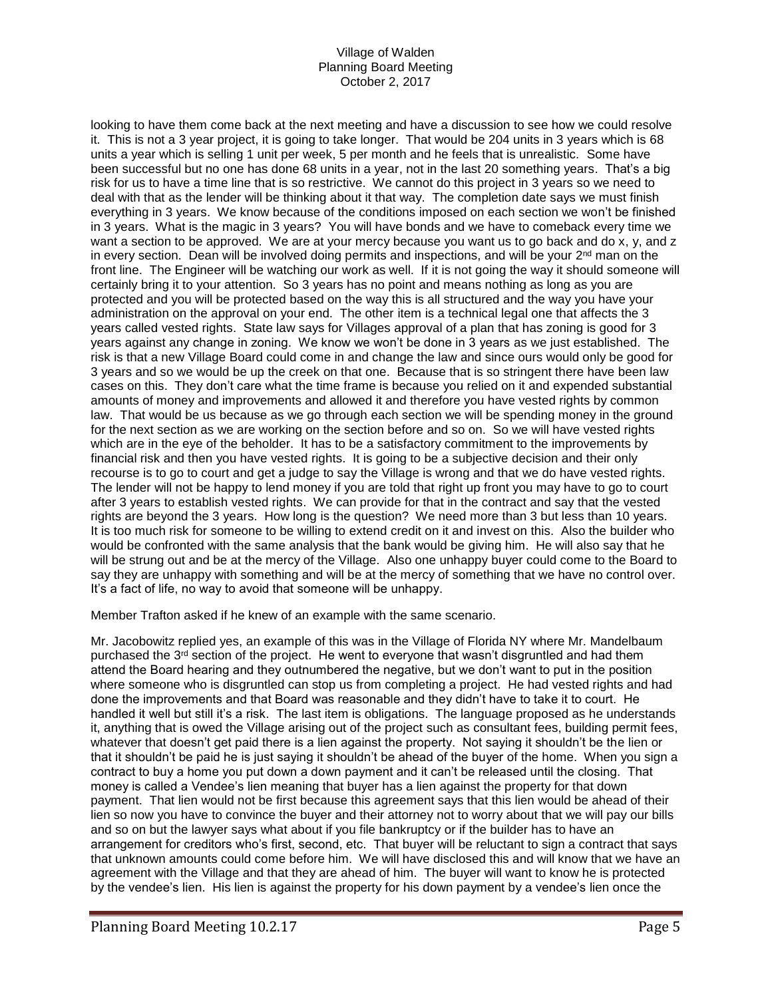looking to have them come back at the next meeting and have a discussion to see how we could resolve it. This is not a 3 year project, it is going to take longer. That would be 204 units in 3 years which is 68 units a year which is selling 1 unit per week, 5 per month and he feels that is unrealistic. Some have been successful but no one has done 68 units in a year, not in the last 20 something years. That's a big risk for us to have a time line that is so restrictive. We cannot do this project in 3 years so we need to deal with that as the lender will be thinking about it that way. The completion date says we must finish everything in 3 years. We know because of the conditions imposed on each section we won't be finished in 3 years. What is the magic in 3 years? You will have bonds and we have to comeback every time we want a section to be approved. We are at your mercy because you want us to go back and do x, y, and z in every section. Dean will be involved doing permits and inspections, and will be your 2<sup>nd</sup> man on the front line. The Engineer will be watching our work as well. If it is not going the way it should someone will certainly bring it to your attention. So 3 years has no point and means nothing as long as you are protected and you will be protected based on the way this is all structured and the way you have your administration on the approval on your end. The other item is a technical legal one that affects the 3 years called vested rights. State law says for Villages approval of a plan that has zoning is good for 3 years against any change in zoning. We know we won't be done in 3 years as we just established. The risk is that a new Village Board could come in and change the law and since ours would only be good for 3 years and so we would be up the creek on that one. Because that is so stringent there have been law cases on this. They don't care what the time frame is because you relied on it and expended substantial amounts of money and improvements and allowed it and therefore you have vested rights by common law. That would be us because as we go through each section we will be spending money in the ground for the next section as we are working on the section before and so on. So we will have vested rights which are in the eye of the beholder. It has to be a satisfactory commitment to the improvements by financial risk and then you have vested rights. It is going to be a subjective decision and their only recourse is to go to court and get a judge to say the Village is wrong and that we do have vested rights. The lender will not be happy to lend money if you are told that right up front you may have to go to court after 3 years to establish vested rights. We can provide for that in the contract and say that the vested rights are beyond the 3 years. How long is the question? We need more than 3 but less than 10 years. It is too much risk for someone to be willing to extend credit on it and invest on this. Also the builder who would be confronted with the same analysis that the bank would be giving him. He will also say that he will be strung out and be at the mercy of the Village. Also one unhappy buyer could come to the Board to say they are unhappy with something and will be at the mercy of something that we have no control over. It's a fact of life, no way to avoid that someone will be unhappy.

Member Trafton asked if he knew of an example with the same scenario.

Mr. Jacobowitz replied yes, an example of this was in the Village of Florida NY where Mr. Mandelbaum purchased the 3<sup>rd</sup> section of the project. He went to everyone that wasn't disgruntled and had them attend the Board hearing and they outnumbered the negative, but we don't want to put in the position where someone who is disgruntled can stop us from completing a project. He had vested rights and had done the improvements and that Board was reasonable and they didn't have to take it to court. He handled it well but still it's a risk. The last item is obligations. The language proposed as he understands it, anything that is owed the Village arising out of the project such as consultant fees, building permit fees, whatever that doesn't get paid there is a lien against the property. Not saying it shouldn't be the lien or that it shouldn't be paid he is just saying it shouldn't be ahead of the buyer of the home. When you sign a contract to buy a home you put down a down payment and it can't be released until the closing. That money is called a Vendee's lien meaning that buyer has a lien against the property for that down payment. That lien would not be first because this agreement says that this lien would be ahead of their lien so now you have to convince the buyer and their attorney not to worry about that we will pay our bills and so on but the lawyer says what about if you file bankruptcy or if the builder has to have an arrangement for creditors who's first, second, etc. That buyer will be reluctant to sign a contract that says that unknown amounts could come before him. We will have disclosed this and will know that we have an agreement with the Village and that they are ahead of him. The buyer will want to know he is protected by the vendee's lien. His lien is against the property for his down payment by a vendee's lien once the